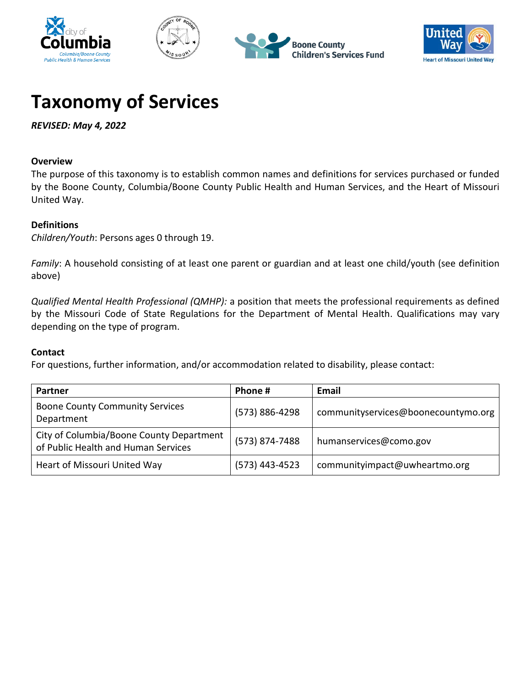







# **Taxonomy of Services**

*REVISED: May 4, 2022*

# **Overview**

The purpose of this taxonomy is to establish common names and definitions for services purchased or funded by the Boone County, Columbia/Boone County Public Health and Human Services, and the Heart of Missouri United Way.

# **Definitions**

*Children/Youth*: Persons ages 0 through 19.

*Family*: A household consisting of at least one parent or guardian and at least one child/youth (see definition above)

*Qualified Mental Health Professional (QMHP):* a position that meets the professional requirements as defined by the Missouri Code of State Regulations for the Department of Mental Health. Qualifications may vary depending on the type of program.

# **Contact**

For questions, further information, and/or accommodation related to disability, please contact:

| Partner                                                                         | Phone #        | Email                               |
|---------------------------------------------------------------------------------|----------------|-------------------------------------|
| <b>Boone County Community Services</b><br>Department                            | (573) 886-4298 | communityservices@boonecountymo.org |
| City of Columbia/Boone County Department<br>of Public Health and Human Services | (573) 874-7488 | humanservices@como.gov              |
| Heart of Missouri United Way                                                    | (573) 443-4523 | communityimpact@uwheartmo.org       |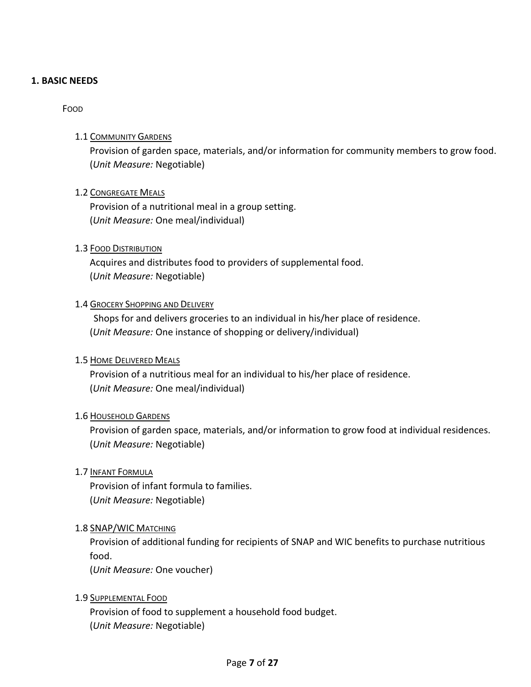#### <span id="page-6-1"></span><span id="page-6-0"></span>**1. BASIC NEEDS**

#### <span id="page-6-2"></span>FOOD

# 1.1 COMMUNITY GARDENS

Provision of garden space, materials, and/or information for community members to grow food. (*Unit Measure:* Negotiable)

#### <span id="page-6-3"></span>1.2 CONGREGATE MEALS

Provision of a nutritional meal in a group setting. (*Unit Measure:* One meal/individual)

#### <span id="page-6-4"></span>1.3 FOOD DISTRIBUTION

Acquires and distributes food to providers of supplemental food. (*Unit Measure:* Negotiable)

#### <span id="page-6-5"></span>1.4 GROCERY SHOPPING AND DELIVERY

Shops for and delivers groceries to an individual in his/her place of residence. (*Unit Measure:* One instance of shopping or delivery/individual)

#### <span id="page-6-6"></span>1.5 HOME DELIVERED MEALS

Provision of a nutritious meal for an individual to his/her place of residence. (*Unit Measure:* One meal/individual)

#### <span id="page-6-7"></span>1.6 HOUSEHOLD GARDENS

Provision of garden space, materials, and/or information to grow food at individual residences. (*Unit Measure:* Negotiable)

#### <span id="page-6-8"></span>1.7 INFANT FORMULA

Provision of infant formula to families. (*Unit Measure:* Negotiable)

#### <span id="page-6-9"></span>1.8 SNAP/WIC MATCHING

Provision of additional funding for recipients of SNAP and WIC benefits to purchase nutritious food.

(*Unit Measure:* One voucher)

# <span id="page-6-10"></span>1.9 SUPPLEMENTAL FOOD

Provision of food to supplement a household food budget. (*Unit Measure:* Negotiable)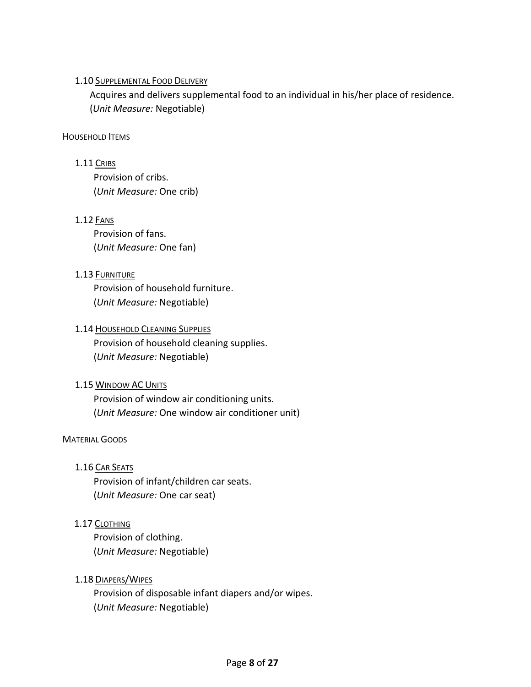# <span id="page-7-0"></span>1.10 SUPPLEMENTAL FOOD DELIVERY

Acquires and delivers supplemental food to an individual in his/her place of residence. (*Unit Measure:* Negotiable)

#### <span id="page-7-2"></span><span id="page-7-1"></span>HOUSEHOLD ITEMS

#### 1.11 CRIBS

Provision of cribs. (*Unit Measure:* One crib)

# <span id="page-7-3"></span>1.12 FANS

Provision of fans. (*Unit Measure:* One fan)

# <span id="page-7-4"></span>1.13 FURNITURE

Provision of household furniture. (*Unit Measure:* Negotiable)

# <span id="page-7-5"></span>1.14 HOUSEHOLD CLEANING SUPPLIES

Provision of household cleaning supplies. (*Unit Measure:* Negotiable)

#### <span id="page-7-6"></span>1.15 WINDOW AC UNITS

Provision of window air conditioning units. (*Unit Measure:* One window air conditioner unit)

#### <span id="page-7-8"></span><span id="page-7-7"></span>MATERIAL GOODS

# 1.16 CAR SEATS

Provision of infant/children car seats. (*Unit Measure:* One car seat)

# <span id="page-7-9"></span>1.17 CLOTHING

Provision of clothing. (*Unit Measure:* Negotiable)

#### <span id="page-7-10"></span>1.18 DIAPERS/WIPES

Provision of disposable infant diapers and/or wipes. (*Unit Measure:* Negotiable)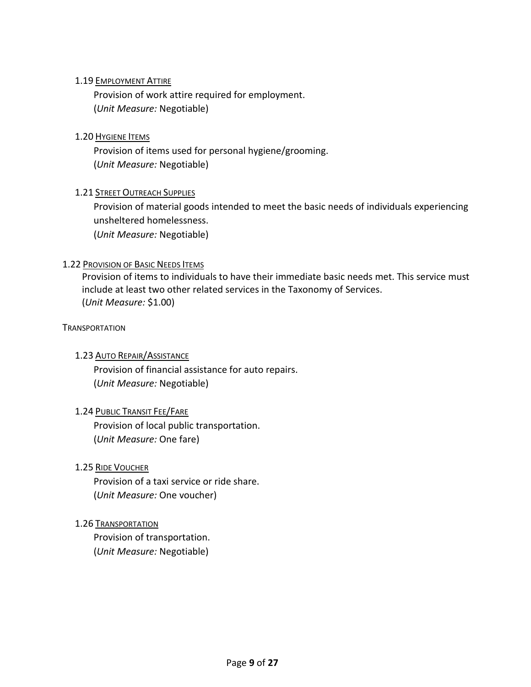# <span id="page-8-0"></span>1.19 EMPLOYMENT ATTIRE

Provision of work attire required for employment. (*Unit Measure:* Negotiable)

# <span id="page-8-1"></span>1.20 HYGIENE ITEMS

Provision of items used for personal hygiene/grooming. (*Unit Measure:* Negotiable)

# <span id="page-8-2"></span>**1.21 STREET OUTREACH SUPPLIES**

Provision of material goods intended to meet the basic needs of individuals experiencing unsheltered homelessness.

(*Unit Measure:* Negotiable)

# <span id="page-8-3"></span>1.22 PROVISION OF BASIC NEEDS ITEMS

Provision of items to individuals to have their immediate basic needs met. This service must include at least two other related services in the Taxonomy of Services. (*Unit Measure:* \$1.00)

#### <span id="page-8-5"></span><span id="page-8-4"></span>**TRANSPORTATION**

#### 1.23 AUTO REPAIR/ASSISTANCE

Provision of financial assistance for auto repairs. (*Unit Measure:* Negotiable)

#### <span id="page-8-6"></span>1.24 PUBLIC TRANSIT FEE/FARE

Provision of local public transportation. (*Unit Measure:* One fare)

#### <span id="page-8-7"></span>1.25 RIDE VOUCHER

Provision of a taxi service or ride share. (*Unit Measure:* One voucher)

#### <span id="page-8-8"></span>1.26 TRANSPORTATION

Provision of transportation. (*Unit Measure:* Negotiable)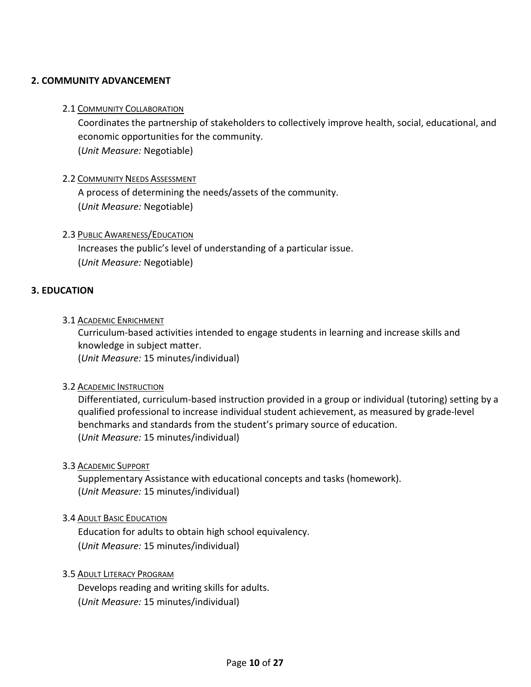# <span id="page-9-1"></span><span id="page-9-0"></span>**2. COMMUNITY ADVANCEMENT**

#### 2.1 COMMUNITY COLLABORATION

Coordinates the partnership of stakeholders to collectively improve health, social, educational, and economic opportunities for the community. (*Unit Measure:* Negotiable)

#### <span id="page-9-2"></span>2.2 COMMUNITY NEEDS ASSESSMENT

A process of determining the needs/assets of the community. (*Unit Measure:* Negotiable)

# <span id="page-9-3"></span>2.3 PUBLIC AWARENESS/EDUCATION

Increases the public's level of understanding of a particular issue. (*Unit Measure:* Negotiable)

# <span id="page-9-5"></span><span id="page-9-4"></span>**3. EDUCATION**

#### 3.1 ACADEMIC ENRICHMENT

Curriculum-based activities intended to engage students in learning and increase skills and knowledge in subject matter.

(*Unit Measure:* 15 minutes/individual)

#### <span id="page-9-6"></span>3.2 ACADEMIC INSTRUCTION

Differentiated, curriculum-based instruction provided in a group or individual (tutoring) setting by a qualified professional to increase individual student achievement, as measured by grade-level benchmarks and standards from the student's primary source of education. (*Unit Measure:* 15 minutes/individual)

#### <span id="page-9-7"></span>3.3 ACADEMIC SUPPORT

Supplementary Assistance with educational concepts and tasks (homework). (*Unit Measure:* 15 minutes/individual)

#### <span id="page-9-8"></span>3.4 ADULT BASIC EDUCATION

Education for adults to obtain high school equivalency. (*Unit Measure:* 15 minutes/individual)

#### <span id="page-9-9"></span>3.5 ADULT LITERACY PROGRAM

Develops reading and writing skills for adults. (*Unit Measure:* 15 minutes/individual)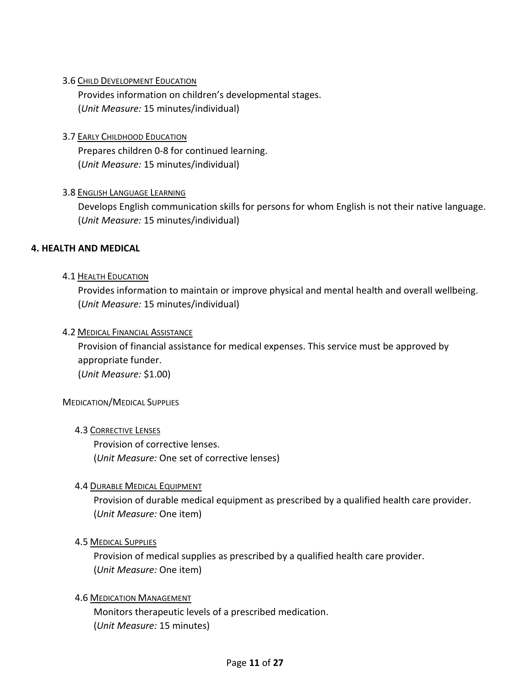# <span id="page-10-0"></span>3.6 CHILD DEVELOPMENT EDUCATION

Provides information on children's developmental stages. (*Unit Measure:* 15 minutes/individual)

# <span id="page-10-1"></span>3.7 EARLY CHILDHOOD EDUCATION

Prepares children 0-8 for continued learning. (*Unit Measure:* 15 minutes/individual)

# <span id="page-10-2"></span>3.8 ENGLISH LANGUAGE LEARNING

Develops English communication skills for persons for whom English is not their native language. (*Unit Measure:* 15 minutes/individual)

#### <span id="page-10-4"></span><span id="page-10-3"></span>**4. HEALTH AND MEDICAL**

#### 4.1 HEALTH EDUCATION

Provides information to maintain or improve physical and mental health and overall wellbeing. (*Unit Measure:* 15 minutes/individual)

#### <span id="page-10-5"></span>4.2 MEDICAL FINANCIAL ASSISTANCE

Provision of financial assistance for medical expenses. This service must be approved by appropriate funder. (*Unit Measure:* \$1.00)

#### <span id="page-10-7"></span><span id="page-10-6"></span>MEDICATION/MEDICAL SUPPLIES

4.3 CORRECTIVE LENSES

Provision of corrective lenses. (*Unit Measure:* One set of corrective lenses)

#### <span id="page-10-8"></span>4.4 DURABLE MEDICAL EQUIPMENT

Provision of durable medical equipment as prescribed by a qualified health care provider. (*Unit Measure:* One item)

#### <span id="page-10-9"></span>4.5 MEDICAL SUPPLIES

Provision of medical supplies as prescribed by a qualified health care provider. (*Unit Measure:* One item)

#### <span id="page-10-10"></span>4.6 MEDICATION MANAGEMENT

Monitors therapeutic levels of a prescribed medication. (*Unit Measure:* 15 minutes)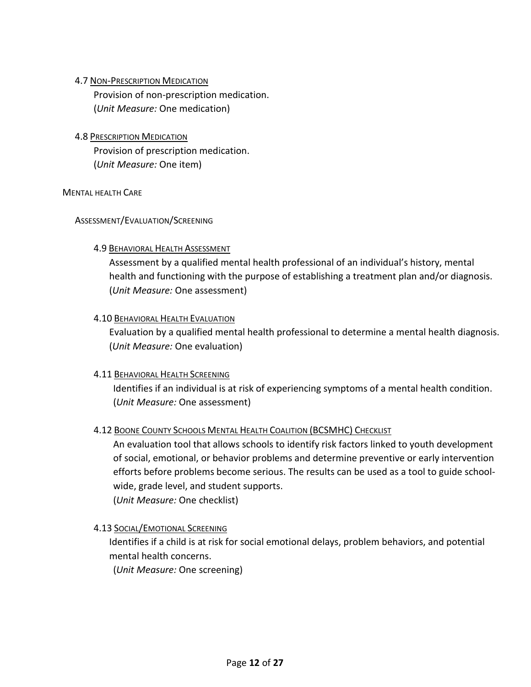# <span id="page-11-0"></span>4.7 NON-PRESCRIPTION MEDICATION

Provision of non-prescription medication. (*Unit Measure:* One medication)

<span id="page-11-1"></span>4.8 PRESCRIPTION MEDICATION Provision of prescription medication. (*Unit Measure:* One item)

#### <span id="page-11-3"></span><span id="page-11-2"></span>MENTAL HEALTH CARE

# <span id="page-11-4"></span>ASSESSMENT/EVALUATION/SCREENING

# 4.9 BEHAVIORAL HEALTH ASSESSMENT

Assessment by a qualified mental health professional of an individual's history, mental health and functioning with the purpose of establishing a treatment plan and/or diagnosis. (*Unit Measure:* One assessment)

# <span id="page-11-5"></span>4.10 BEHAVIORAL HEALTH EVALUATION

Evaluation by a qualified mental health professional to determine a mental health diagnosis. (*Unit Measure:* One evaluation)

# <span id="page-11-6"></span>4.11 BEHAVIORAL HEALTH SCREENING

Identifies if an individual is at risk of experiencing symptoms of a mental health condition. (*Unit Measure:* One assessment)

# <span id="page-11-7"></span>4.12 BOONE COUNTY SCHOOLS MENTAL HEALTH COALITION (BCSMHC) CHECKLIST

An evaluation tool that allows schools to identify risk factors linked to youth development of social, emotional, or behavior problems and determine preventive or early intervention efforts before problems become serious. The results can be used as a tool to guide schoolwide, grade level, and student supports.

(*Unit Measure:* One checklist)

# <span id="page-11-8"></span>4.13 SOCIAL/EMOTIONAL SCREENING

Identifies if a child is at risk for social emotional delays, problem behaviors, and potential mental health concerns.

(*Unit Measure:* One screening)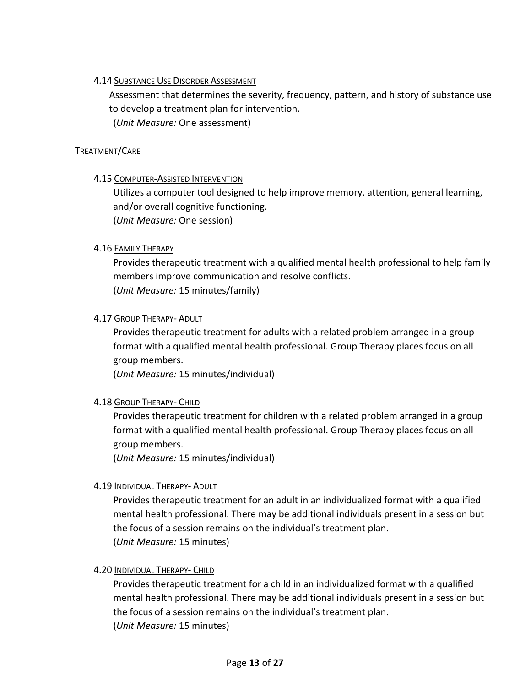# <span id="page-12-0"></span>4.14 SUBSTANCE USE DISORDER ASSESSMENT

Assessment that determines the severity, frequency, pattern, and history of substance use to develop a treatment plan for intervention.

(*Unit Measure:* One assessment)

# <span id="page-12-2"></span><span id="page-12-1"></span>TREATMENT/CARE

# 4.15 COMPUTER-ASSISTED INTERVENTION

Utilizes a computer tool designed to help improve memory, attention, general learning, and/or overall cognitive functioning. (*Unit Measure:* One session)

# <span id="page-12-3"></span>4.16 FAMILY THERAPY

Provides therapeutic treatment with a qualified mental health professional to help family members improve communication and resolve conflicts. (*Unit Measure:* 15 minutes/family)

# <span id="page-12-4"></span>4.17 GROUP THERAPY- ADULT

Provides therapeutic treatment for adults with a related problem arranged in a group format with a qualified mental health professional. Group Therapy places focus on all group members.

(*Unit Measure:* 15 minutes/individual)

#### <span id="page-12-5"></span>4.18 GROUP THERAPY- CHILD

Provides therapeutic treatment for children with a related problem arranged in a group format with a qualified mental health professional. Group Therapy places focus on all group members.

(*Unit Measure:* 15 minutes/individual)

# <span id="page-12-6"></span>4.19 INDIVIDUAL THERAPY- ADULT

Provides therapeutic treatment for an adult in an individualized format with a qualified mental health professional. There may be additional individuals present in a session but the focus of a session remains on the individual's treatment plan. (*Unit Measure:* 15 minutes)

#### <span id="page-12-7"></span>4.20 INDIVIDUAL THERAPY- CHILD

Provides therapeutic treatment for a child in an individualized format with a qualified mental health professional. There may be additional individuals present in a session but the focus of a session remains on the individual's treatment plan. (*Unit Measure:* 15 minutes)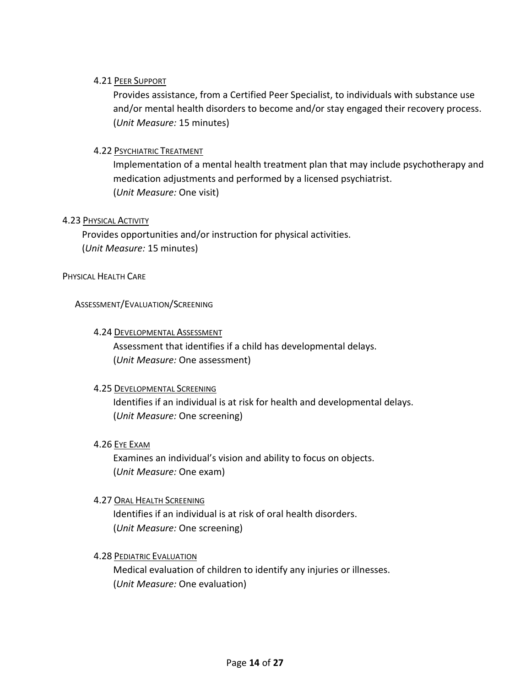# <span id="page-13-0"></span>4.21 PEER SUPPORT

Provides assistance, from a Certified Peer Specialist, to individuals with substance use and/or mental health disorders to become and/or stay engaged their recovery process. (*Unit Measure:* 15 minutes)

# <span id="page-13-1"></span>4.22 PSYCHIATRIC TREATMENT

Implementation of a mental health treatment plan that may include psychotherapy and medication adjustments and performed by a licensed psychiatrist. (*Unit Measure:* One visit)

#### <span id="page-13-2"></span>4.23 PHYSICAL ACTIVITY

Provides opportunities and/or instruction for physical activities. (*Unit Measure:* 15 minutes)

#### <span id="page-13-4"></span><span id="page-13-3"></span>PHYSICAL HEALTH CARE

#### <span id="page-13-5"></span>ASSESSMENT/EVALUATION/SCREENING

#### 4.24 DEVELOPMENTAL ASSESSMENT

Assessment that identifies if a child has developmental delays. (*Unit Measure:* One assessment)

#### <span id="page-13-6"></span>4.25 DEVELOPMENTAL SCREENING

Identifies if an individual is at risk for health and developmental delays. (*Unit Measure:* One screening)

#### <span id="page-13-7"></span>4.26 EYE EXAM

Examines an individual's vision and ability to focus on objects. (*Unit Measure:* One exam)

#### <span id="page-13-8"></span>4.27 ORAL HEALTH SCREENING

Identifies if an individual is at risk of oral health disorders. (*Unit Measure:* One screening)

#### <span id="page-13-9"></span>4.28 PEDIATRIC EVALUATION

Medical evaluation of children to identify any injuries or illnesses. (*Unit Measure:* One evaluation)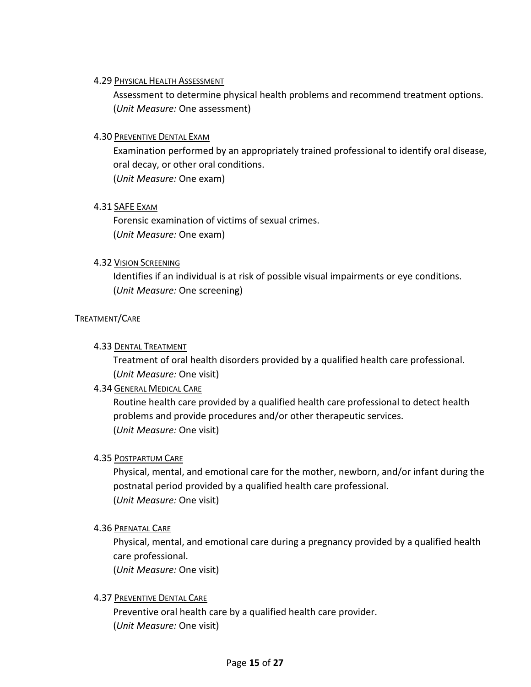#### <span id="page-14-0"></span>4.29 PHYSICAL HEALTH ASSESSMENT

Assessment to determine physical health problems and recommend treatment options. (*Unit Measure:* One assessment)

# <span id="page-14-1"></span>4.30 PREVENTIVE DENTAL EXAM

Examination performed by an appropriately trained professional to identify oral disease, oral decay, or other oral conditions. (*Unit Measure:* One exam)

#### <span id="page-14-2"></span>4.31 SAFE EXAM

Forensic examination of victims of sexual crimes. (*Unit Measure:* One exam)

# <span id="page-14-3"></span>4.32 VISION SCREENING

Identifies if an individual is at risk of possible visual impairments or eye conditions. (*Unit Measure:* One screening)

# <span id="page-14-5"></span><span id="page-14-4"></span>TREATMENT/CARE

# 4.33 DENTAL TREATMENT

Treatment of oral health disorders provided by a qualified health care professional. (*Unit Measure:* One visit)

# <span id="page-14-6"></span>4.34 GENERAL MEDICAL CARE

Routine health care provided by a qualified health care professional to detect health problems and provide procedures and/or other therapeutic services. (*Unit Measure:* One visit)

#### <span id="page-14-7"></span>4.35 POSTPARTUM CARE

Physical, mental, and emotional care for the mother, newborn, and/or infant during the postnatal period provided by a qualified health care professional. (*Unit Measure:* One visit)

#### <span id="page-14-8"></span>4.36 PRENATAL CARE

Physical, mental, and emotional care during a pregnancy provided by a qualified health care professional. (*Unit Measure:* One visit)

# <span id="page-14-9"></span>4.37 PREVENTIVE DENTAL CARE

Preventive oral health care by a qualified health care provider. (*Unit Measure:* One visit)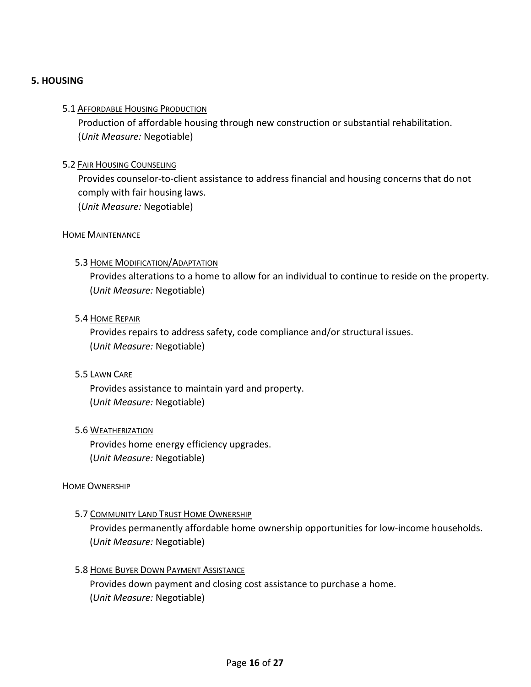# <span id="page-15-1"></span><span id="page-15-0"></span>**5. HOUSING**

#### 5.1 AFFORDABLE HOUSING PRODUCTION

Production of affordable housing through new construction or substantial rehabilitation. (*Unit Measure:* Negotiable)

#### <span id="page-15-2"></span>5.2 FAIR HOUSING COUNSELING

Provides counselor-to-client assistance to address financial and housing concerns that do not comply with fair housing laws.

(*Unit Measure:* Negotiable)

#### <span id="page-15-4"></span><span id="page-15-3"></span>HOME MAINTENANCE

#### 5.3 HOME MODIFICATION/ADAPTATION

Provides alterations to a home to allow for an individual to continue to reside on the property. (*Unit Measure:* Negotiable)

#### <span id="page-15-5"></span>5.4 HOME REPAIR

Provides repairs to address safety, code compliance and/or structural issues. (*Unit Measure:* Negotiable)

#### <span id="page-15-6"></span>5.5 LAWN CARE

Provides assistance to maintain yard and property. (*Unit Measure:* Negotiable)

#### <span id="page-15-7"></span>5.6 WEATHERIZATION

Provides home energy efficiency upgrades. (*Unit Measure:* Negotiable)

#### <span id="page-15-9"></span><span id="page-15-8"></span>HOME OWNERSHIP

#### 5.7 COMMUNITY LAND TRUST HOME OWNERSHIP

Provides permanently affordable home ownership opportunities for low-income households. (*Unit Measure:* Negotiable)

#### <span id="page-15-10"></span>5.8 HOME BUYER DOWN PAYMENT ASSISTANCE

Provides down payment and closing cost assistance to purchase a home. (*Unit Measure:* Negotiable)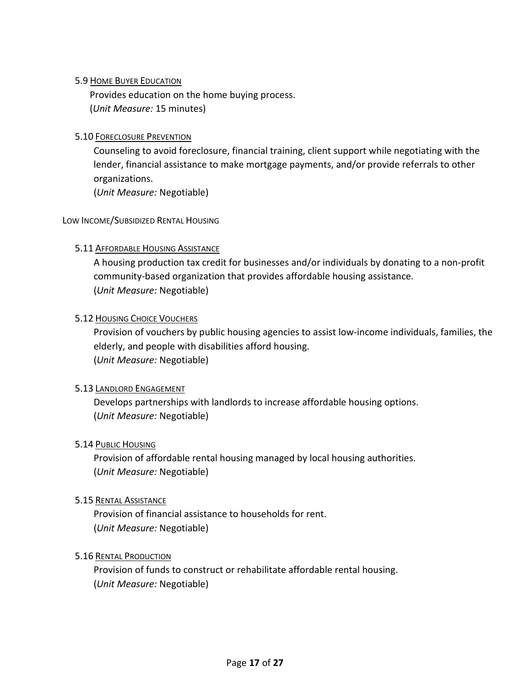# <span id="page-16-0"></span>5.9 HOME BUYER EDUCATION

Provides education on the home buying process. (*Unit Measure:* 15 minutes)

# <span id="page-16-1"></span>5.10 FORECLOSURE PREVENTION

Counseling to avoid foreclosure, financial training, client support while negotiating with the lender, financial assistance to make mortgage payments, and/or provide referrals to other organizations.

(*Unit Measure:* Negotiable)

#### <span id="page-16-3"></span><span id="page-16-2"></span>LOW INCOME/SUBSIDIZED RENTAL HOUSING

# 5.11 AFFORDABLE HOUSING ASSISTANCE

A housing production tax credit for businesses and/or individuals by donating to a non-profit community-based organization that provides affordable housing assistance. (*Unit Measure:* Negotiable)

#### <span id="page-16-4"></span>5.12 HOUSING CHOICE VOUCHERS

Provision of vouchers by public housing agencies to assist low-income individuals, families, the elderly, and people with disabilities afford housing. (*Unit Measure:* Negotiable)

#### <span id="page-16-5"></span>5.13 LANDLORD ENGAGEMENT

Develops partnerships with landlords to increase affordable housing options. (*Unit Measure:* Negotiable)

#### <span id="page-16-6"></span>5.14 PUBLIC HOUSING

Provision of affordable rental housing managed by local housing authorities. (*Unit Measure:* Negotiable)

#### <span id="page-16-7"></span>5.15 RENTAL ASSISTANCE

Provision of financial assistance to households for rent. (*Unit Measure:* Negotiable)

#### <span id="page-16-8"></span>5.16 RENTAL PRODUCTION

Provision of funds to construct or rehabilitate affordable rental housing. (*Unit Measure:* Negotiable)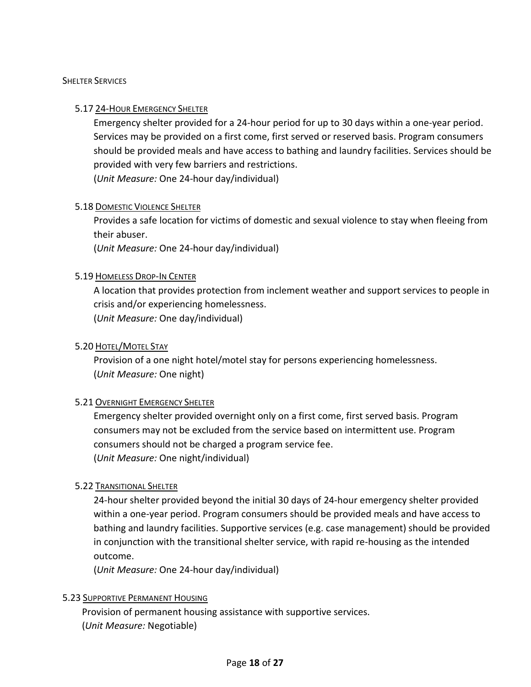#### <span id="page-17-1"></span><span id="page-17-0"></span>**SHELTER SERVICES**

#### 5.17 24-HOUR EMERGENCY SHELTER

Emergency shelter provided for a 24-hour period for up to 30 days within a one-year period. Services may be provided on a first come, first served or reserved basis. Program consumers should be provided meals and have access to bathing and laundry facilities. Services should be provided with very few barriers and restrictions.

(*Unit Measure:* One 24-hour day/individual)

#### <span id="page-17-2"></span>5.18 DOMESTIC VIOLENCE SHELTER

Provides a safe location for victims of domestic and sexual violence to stay when fleeing from their abuser.

(*Unit Measure:* One 24-hour day/individual)

#### <span id="page-17-3"></span>5.19 HOMELESS DROP-IN CENTER

A location that provides protection from inclement weather and support services to people in crisis and/or experiencing homelessness. (*Unit Measure:* One day/individual)

#### <span id="page-17-4"></span>5.20 HOTEL/MOTEL STAY

Provision of a one night hotel/motel stay for persons experiencing homelessness. (*Unit Measure:* One night)

#### <span id="page-17-5"></span>5.21 OVERNIGHT EMERGENCY SHELTER

Emergency shelter provided overnight only on a first come, first served basis. Program consumers may not be excluded from the service based on intermittent use. Program consumers should not be charged a program service fee. (*Unit Measure:* One night/individual)

#### <span id="page-17-6"></span>5.22 TRANSITIONAL SHELTER

24-hour shelter provided beyond the initial 30 days of 24-hour emergency shelter provided within a one-year period. Program consumers should be provided meals and have access to bathing and laundry facilities. Supportive services (e.g. case management) should be provided in conjunction with the transitional shelter service, with rapid re-housing as the intended outcome.

(*Unit Measure:* One 24-hour day/individual)

#### <span id="page-17-7"></span>5.23 SUPPORTIVE PERMANENT HOUSING

Provision of permanent housing assistance with supportive services. (*Unit Measure:* Negotiable)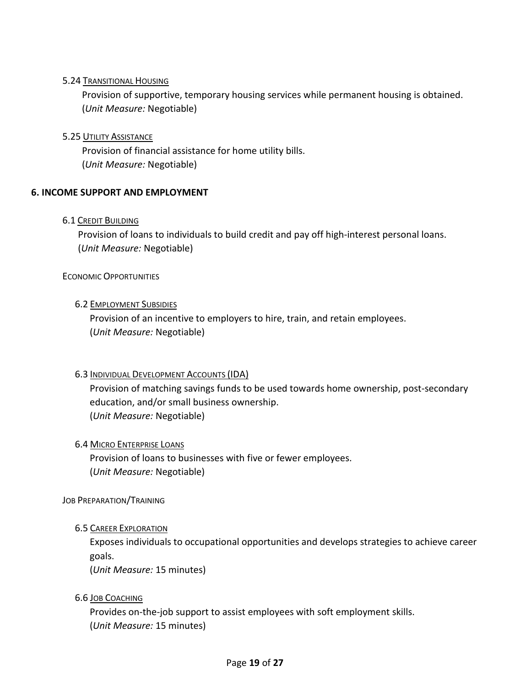# <span id="page-18-0"></span>5.24 TRANSITIONAL HOUSING

Provision of supportive, temporary housing services while permanent housing is obtained. (*Unit Measure:* Negotiable)

#### <span id="page-18-1"></span>5.25 UTILITY ASSISTANCE

Provision of financial assistance for home utility bills. (*Unit Measure:* Negotiable)

# <span id="page-18-3"></span><span id="page-18-2"></span>**6. INCOME SUPPORT AND EMPLOYMENT**

#### 6.1 CREDIT BUILDING

Provision of loans to individuals to build credit and pay off high-interest personal loans. (*Unit Measure:* Negotiable)

<span id="page-18-5"></span><span id="page-18-4"></span>ECONOMIC OPPORTUNITIES

#### 6.2 EMPLOYMENT SUBSIDIES

Provision of an incentive to employers to hire, train, and retain employees. (*Unit Measure:* Negotiable)

#### <span id="page-18-6"></span>6.3 INDIVIDUAL DEVELOPMENT ACCOUNTS (IDA)

Provision of matching savings funds to be used towards home ownership, post-secondary education, and/or small business ownership. (*Unit Measure:* Negotiable)

#### <span id="page-18-7"></span>6.4 MICRO ENTERPRISE LOANS

Provision of loans to businesses with five or fewer employees. (*Unit Measure:* Negotiable)

#### <span id="page-18-9"></span><span id="page-18-8"></span>JOB PREPARATION/TRAINING

#### 6.5 CAREER EXPLORATION

Exposes individuals to occupational opportunities and develops strategies to achieve career goals.

(*Unit Measure:* 15 minutes)

#### <span id="page-18-10"></span>6.6 JOB COACHING

Provides on-the-job support to assist employees with soft employment skills. (*Unit Measure:* 15 minutes)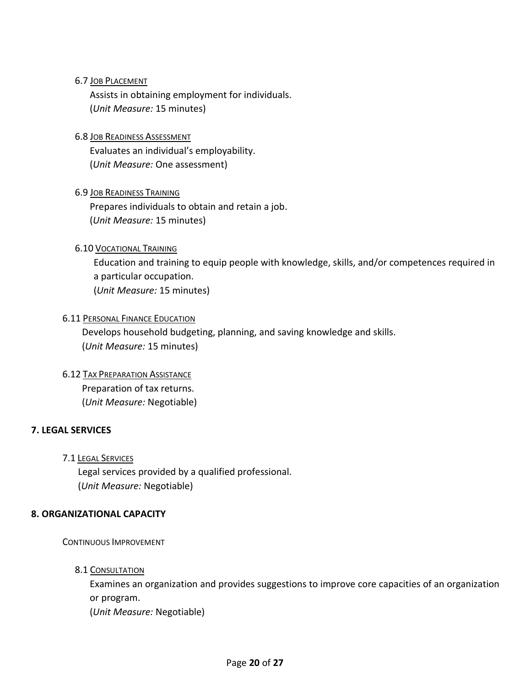# <span id="page-19-0"></span>6.7 JOB PLACEMENT

Assists in obtaining employment for individuals. (*Unit Measure:* 15 minutes)

# <span id="page-19-1"></span>6.8 JOB READINESS ASSESSMENT

Evaluates an individual's employability. (*Unit Measure:* One assessment)

# <span id="page-19-2"></span>6.9 JOB READINESS TRAINING

Prepares individuals to obtain and retain a job. (*Unit Measure:* 15 minutes)

# <span id="page-19-3"></span>6.10 VOCATIONAL TRAINING

Education and training to equip people with knowledge, skills, and/or competences required in a particular occupation. (*Unit Measure:* 15 minutes)

#### <span id="page-19-4"></span>**6.11 PERSONAL FINANCE EDUCATION**

Develops household budgeting, planning, and saving knowledge and skills. (*Unit Measure:* 15 minutes)

<span id="page-19-5"></span>6.12 TAX PREPARATION ASSISTANCE

Preparation of tax returns. (*Unit Measure:* Negotiable)

# <span id="page-19-7"></span><span id="page-19-6"></span>**7. LEGAL SERVICES**

#### 7.1 LEGAL SERVICES

Legal services provided by a qualified professional. (*Unit Measure:* Negotiable)

#### <span id="page-19-9"></span><span id="page-19-8"></span>**8. ORGANIZATIONAL CAPACITY**

<span id="page-19-10"></span>CONTINUOUS IMPROVEMENT

#### 8.1 CONSULTATION

Examines an organization and provides suggestions to improve core capacities of an organization or program.

(*Unit Measure:* Negotiable)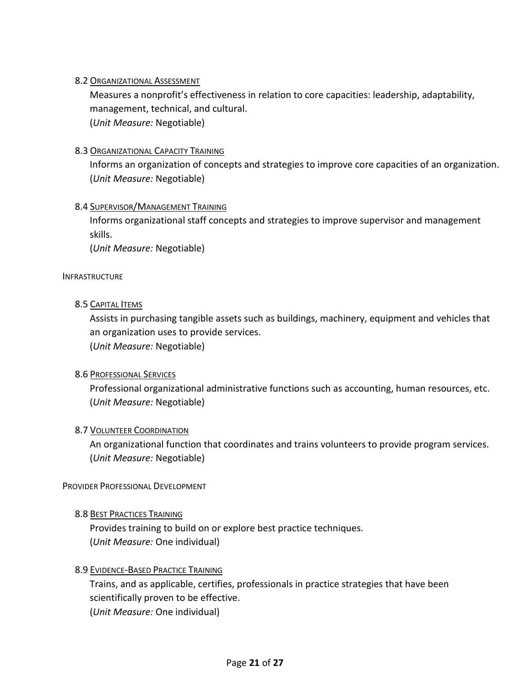# <span id="page-20-0"></span>8.2 ORGANIZATIONAL ASSESSMENT

Measures a nonprofit's effectiveness in relation to core capacities: leadership, adaptability, management, technical, and cultural. (*Unit Measure:* Negotiable)

#### <span id="page-20-1"></span>8.3 ORGANIZATIONAL CAPACITY TRAINING

Informs an organization of concepts and strategies to improve core capacities of an organization. (*Unit Measure:* Negotiable)

# <span id="page-20-2"></span>8.4 SUPERVISOR/MANAGEMENT TRAINING

Informs organizational staff concepts and strategies to improve supervisor and management skills.

(*Unit Measure:* Negotiable)

#### <span id="page-20-4"></span><span id="page-20-3"></span>INFRASTRUCTURE

#### 8.5 CAPITAL **ITEMS**

Assists in purchasing tangible assets such as buildings, machinery, equipment and vehicles that an organization uses to provide services. (*Unit Measure:* Negotiable)

#### <span id="page-20-5"></span>8.6 PROFESSIONAL SERVICES

Professional organizational administrative functions such as accounting, human resources, etc. (*Unit Measure:* Negotiable)

#### <span id="page-20-6"></span>8.7 VOLUNTEER COORDINATION

An organizational function that coordinates and trains volunteers to provide program services. (*Unit Measure:* Negotiable)

#### <span id="page-20-8"></span><span id="page-20-7"></span>PROVIDER PROFESSIONAL DEVELOPMENT

#### 8.8 BEST PRACTICES TRAINING

Provides training to build on or explore best practice techniques. (*Unit Measure:* One individual)

#### <span id="page-20-9"></span>8.9 EVIDENCE-BASED PRACTICE TRAINING

Trains, and as applicable, certifies, professionals in practice strategies that have been scientifically proven to be effective. (*Unit Measure:* One individual)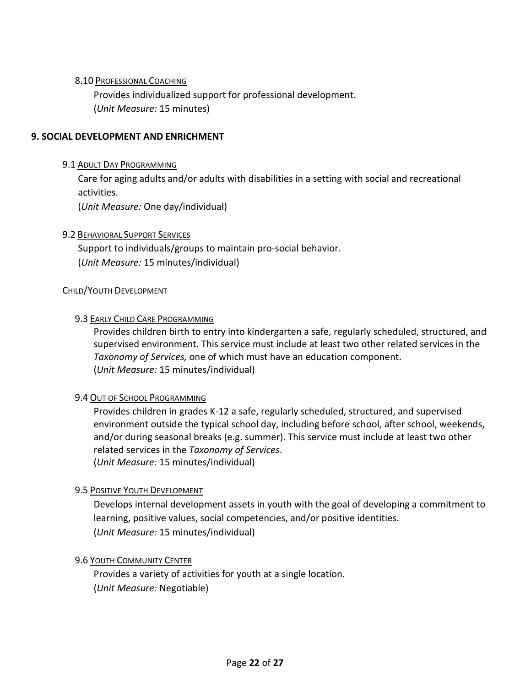# <span id="page-21-0"></span>8.10 PROFESSIONAL COACHING

Provides individualized support for professional development. (*Unit Measure:* 15 minutes)

#### <span id="page-21-2"></span><span id="page-21-1"></span>**9. SOCIAL DEVELOPMENT AND ENRICHMENT**

#### 9.1 ADULT DAY PROGRAMMING

Care for aging adults and/or adults with disabilities in a setting with social and recreational activities.

(*Unit Measure:* One day/individual)

#### <span id="page-21-3"></span>9.2 BEHAVIORAL SUPPORT SERVICES

Support to individuals/groups to maintain pro-social behavior. (*Unit Measure:* 15 minutes/individual)

#### <span id="page-21-5"></span><span id="page-21-4"></span>CHILD/YOUTH DEVELOPMENT

#### 9.3 EARLY CHILD CARE PROGRAMMING

Provides children birth to entry into kindergarten a safe, regularly scheduled, structured, and supervised environment. This service must include at least two other related services in the *Taxonomy of Services,* one of which must have an education component. (*Unit Measure:* 15 minutes/individual)

#### <span id="page-21-6"></span>9.4 OUT OF SCHOOL PROGRAMMING

Provides children in grades K-12 a safe, regularly scheduled, structured, and supervised environment outside the typical school day, including before school, after school, weekends, and/or during seasonal breaks (e.g. summer). This service must include at least two other related services in the *Taxonomy of Services*. (*Unit Measure:* 15 minutes/individual)

#### <span id="page-21-7"></span>9.5 POSITIVE YOUTH DEVELOPMENT

Develops internal development assets in youth with the goal of developing a commitment to learning, positive values, social competencies, and/or positive identities. (*Unit Measure:* 15 minutes/individual)

# <span id="page-21-8"></span>**9.6 YOUTH COMMUNITY CENTER**

Provides a variety of activities for youth at a single location. (*Unit Measure:* Negotiable)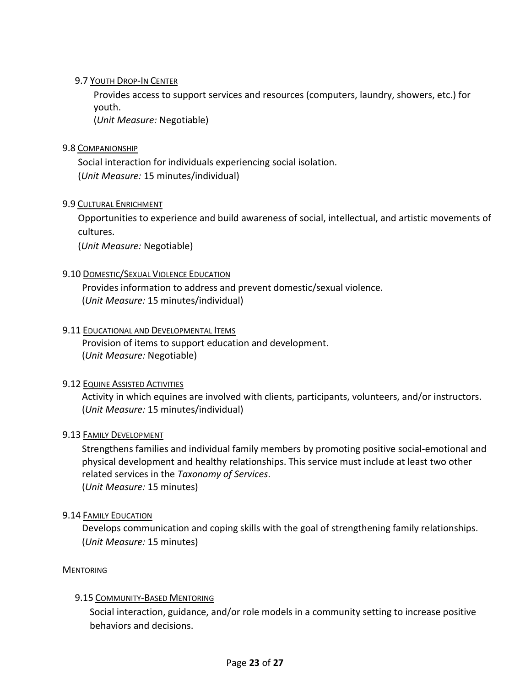# <span id="page-22-0"></span>9.7 YOUTH DROP-IN CENTER

Provides access to support services and resources (computers, laundry, showers, etc.) for youth.

(*Unit Measure:* Negotiable)

# <span id="page-22-1"></span>9.8 COMPANIONSHIP

Social interaction for individuals experiencing social isolation. (*Unit Measure:* 15 minutes/individual)

# <span id="page-22-2"></span>9.9 CULTURAL ENRICHMENT

Opportunities to experience and build awareness of social, intellectual, and artistic movements of cultures.

(*Unit Measure:* Negotiable)

# <span id="page-22-3"></span>9.10 DOMESTIC/SEXUAL VIOLENCE EDUCATION

Provides information to address and prevent domestic/sexual violence. (*Unit Measure:* 15 minutes/individual)

#### <span id="page-22-4"></span>9.11 EDUCATIONAL AND DEVELOPMENTAL ITEMS

Provision of items to support education and development. (*Unit Measure:* Negotiable)

#### <span id="page-22-5"></span>9.12 EQUINE ASSISTED ACTIVITIES

Activity in which equines are involved with clients, participants, volunteers, and/or instructors. (*Unit Measure:* 15 minutes/individual)

#### <span id="page-22-6"></span>9.13 FAMILY DEVELOPMENT

Strengthens families and individual family members by promoting positive social-emotional and physical development and healthy relationships. This service must include at least two other related services in the *Taxonomy of Services*. (*Unit Measure:* 15 minutes)

#### <span id="page-22-7"></span>9.14 FAMILY EDUCATION

Develops communication and coping skills with the goal of strengthening family relationships. (*Unit Measure:* 15 minutes)

<span id="page-22-9"></span><span id="page-22-8"></span>**MENTORING** 

#### 9.15 COMMUNITY-BASED MENTORING

Social interaction, guidance, and/or role models in a community setting to increase positive behaviors and decisions.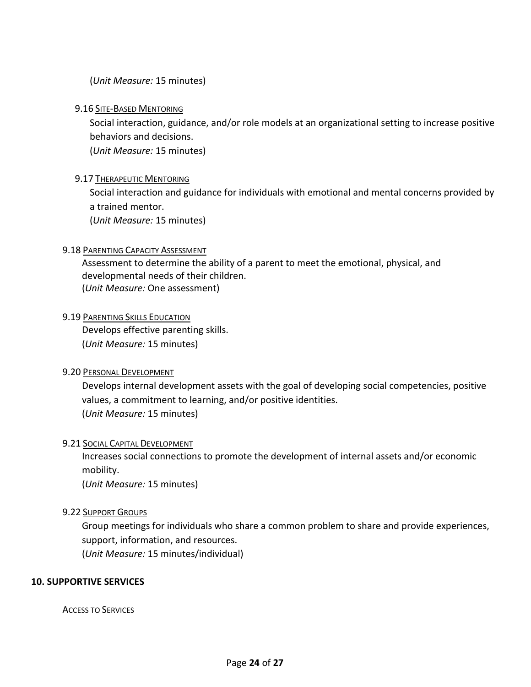(*Unit Measure:* 15 minutes)

#### <span id="page-23-0"></span>9.16 SITE-BASED MENTORING

Social interaction, guidance, and/or role models at an organizational setting to increase positive behaviors and decisions.

(*Unit Measure:* 15 minutes)

#### <span id="page-23-1"></span>9.17 THERAPEUTIC MENTORING

Social interaction and guidance for individuals with emotional and mental concerns provided by a trained mentor.

(*Unit Measure:* 15 minutes)

# <span id="page-23-2"></span>9.18 PARENTING CAPACITY ASSESSMENT

Assessment to determine the ability of a parent to meet the emotional, physical, and developmental needs of their children. (*Unit Measure:* One assessment)

#### <span id="page-23-3"></span>9.19 PARENTING SKILLS EDUCATION

Develops effective parenting skills. (*Unit Measure:* 15 minutes)

#### <span id="page-23-4"></span>9.20 PERSONAL DEVELOPMENT

Develops internal development assets with the goal of developing social competencies, positive values, a commitment to learning, and/or positive identities. (*Unit Measure:* 15 minutes)

#### <span id="page-23-5"></span>9.21 SOCIAL CAPITAL DEVELOPMENT

Increases social connections to promote the development of internal assets and/or economic mobility.

(*Unit Measure:* 15 minutes)

#### <span id="page-23-6"></span>9.22 SUPPORT GROUPS

Group meetings for individuals who share a common problem to share and provide experiences, support, information, and resources.

(*Unit Measure:* 15 minutes/individual)

#### <span id="page-23-8"></span><span id="page-23-7"></span>**10. SUPPORTIVE SERVICES**

ACCESS TO SERVICES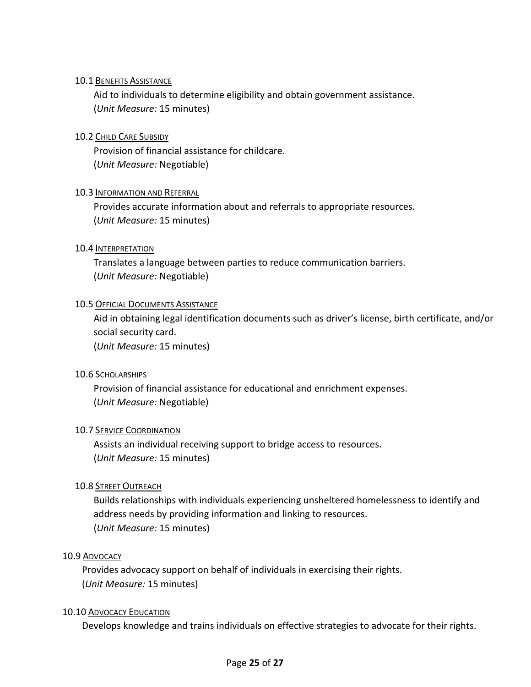# <span id="page-24-0"></span>10.1 BENEFITS ASSISTANCE

Aid to individuals to determine eligibility and obtain government assistance. (*Unit Measure:* 15 minutes)

# <span id="page-24-1"></span>10.2 CHILD CARE SUBSIDY

Provision of financial assistance for childcare. (*Unit Measure:* Negotiable)

# <span id="page-24-2"></span>10.3 INFORMATION AND REFERRAL

Provides accurate information about and referrals to appropriate resources. (*Unit Measure:* 15 minutes)

# <span id="page-24-3"></span>10.4 INTERPRETATION

Translates a language between parties to reduce communication barriers. (*Unit Measure:* Negotiable)

# <span id="page-24-4"></span>**10.5 OFFICIAL DOCUMENTS ASSISTANCE**

Aid in obtaining legal identification documents such as driver's license, birth certificate, and/or social security card. (*Unit Measure:* 15 minutes)

#### <span id="page-24-5"></span>10.6 SCHOLARSHIPS

Provision of financial assistance for educational and enrichment expenses. (*Unit Measure:* Negotiable)

#### <span id="page-24-6"></span>10.7 SERVICE COORDINATION

Assists an individual receiving support to bridge access to resources. (*Unit Measure:* 15 minutes)

# <span id="page-24-7"></span>10.8 STREET OUTREACH

Builds relationships with individuals experiencing unsheltered homelessness to identify and address needs by providing information and linking to resources. (*Unit Measure:* 15 minutes)

#### <span id="page-24-8"></span>10.9 ADVOCACY

Provides advocacy support on behalf of individuals in exercising their rights. (*Unit Measure:* 15 minutes)

#### <span id="page-24-9"></span>10.10 ADVOCACY EDUCATION

Develops knowledge and trains individuals on effective strategies to advocate for their rights.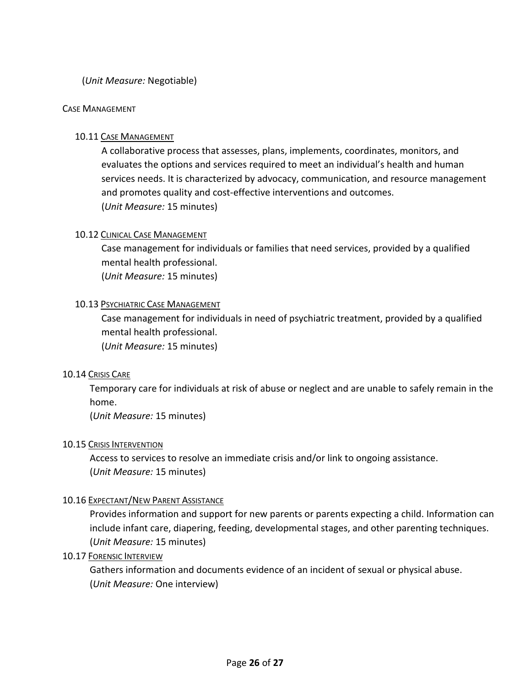#### (*Unit Measure:* Negotiable)

#### <span id="page-25-1"></span><span id="page-25-0"></span>CASE MANAGEMENT

#### 10.11 CASE MANAGEMENT

A collaborative process that assesses, plans, implements, coordinates, monitors, and evaluates the options and services required to meet an individual's health and human services needs. It is characterized by advocacy, communication, and resource management and promotes quality and cost-effective interventions and outcomes. (*Unit Measure:* 15 minutes)

#### <span id="page-25-2"></span>10.12 CLINICAL CASE MANAGEMENT

Case management for individuals or families that need services, provided by a qualified mental health professional. (*Unit Measure:* 15 minutes)

#### <span id="page-25-3"></span>10.13 PSYCHIATRIC CASE MANAGEMENT

Case management for individuals in need of psychiatric treatment, provided by a qualified mental health professional. (*Unit Measure:* 15 minutes)

#### <span id="page-25-4"></span>10.14 CRISIS CARE

Temporary care for individuals at risk of abuse or neglect and are unable to safely remain in the home.

(*Unit Measure:* 15 minutes)

#### <span id="page-25-5"></span>10.15 CRISIS INTERVENTION

Access to services to resolve an immediate crisis and/or link to ongoing assistance. (*Unit Measure:* 15 minutes)

#### <span id="page-25-6"></span>10.16 EXPECTANT/NEW PARENT ASSISTANCE

Provides information and support for new parents or parents expecting a child. Information can include infant care, diapering, feeding, developmental stages, and other parenting techniques. (*Unit Measure:* 15 minutes)

#### <span id="page-25-7"></span>10.17 FORENSIC INTERVIEW

Gathers information and documents evidence of an incident of sexual or physical abuse. (*Unit Measure:* One interview)